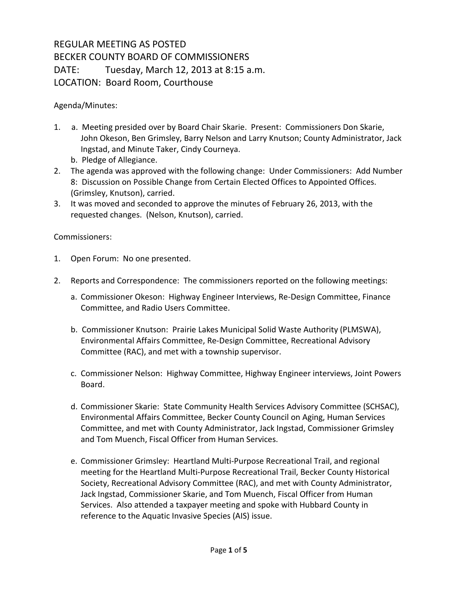## REGULAR MEETING AS POSTED BECKER COUNTY BOARD OF COMMISSIONERS DATE: Tuesday, March 12, 2013 at 8:15 a.m. LOCATION: Board Room, Courthouse

Agenda/Minutes:

- 1. a. Meeting presided over by Board Chair Skarie. Present: Commissioners Don Skarie, John Okeson, Ben Grimsley, Barry Nelson and Larry Knutson; County Administrator, Jack Ingstad, and Minute Taker, Cindy Courneya.
	- b. Pledge of Allegiance.
- 2. The agenda was approved with the following change: Under Commissioners: Add Number 8: Discussion on Possible Change from Certain Elected Offices to Appointed Offices. (Grimsley, Knutson), carried.
- 3. It was moved and seconded to approve the minutes of February 26, 2013, with the requested changes. (Nelson, Knutson), carried.

Commissioners:

- 1. Open Forum: No one presented.
- 2. Reports and Correspondence: The commissioners reported on the following meetings:
	- a. Commissioner Okeson: Highway Engineer Interviews, Re-Design Committee, Finance Committee, and Radio Users Committee.
	- b. Commissioner Knutson: Prairie Lakes Municipal Solid Waste Authority (PLMSWA), Environmental Affairs Committee, Re-Design Committee, Recreational Advisory Committee (RAC), and met with a township supervisor.
	- c. Commissioner Nelson: Highway Committee, Highway Engineer interviews, Joint Powers Board.
	- d. Commissioner Skarie: State Community Health Services Advisory Committee (SCHSAC), Environmental Affairs Committee, Becker County Council on Aging, Human Services Committee, and met with County Administrator, Jack Ingstad, Commissioner Grimsley and Tom Muench, Fiscal Officer from Human Services.
	- e. Commissioner Grimsley: Heartland Multi-Purpose Recreational Trail, and regional meeting for the Heartland Multi-Purpose Recreational Trail, Becker County Historical Society, Recreational Advisory Committee (RAC), and met with County Administrator, Jack Ingstad, Commissioner Skarie, and Tom Muench, Fiscal Officer from Human Services. Also attended a taxpayer meeting and spoke with Hubbard County in reference to the Aquatic Invasive Species (AIS) issue.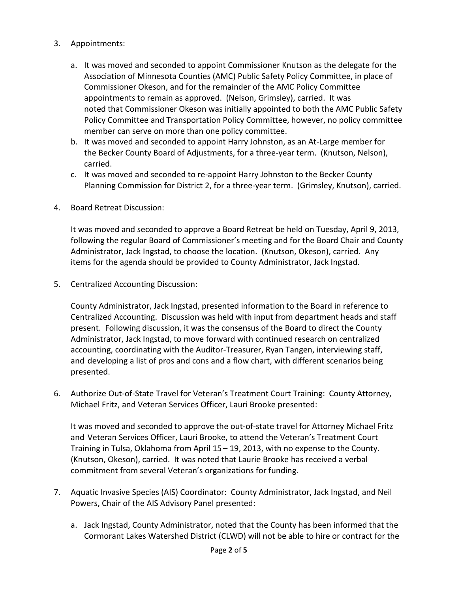- 3. Appointments:
	- a. It was moved and seconded to appoint Commissioner Knutson as the delegate for the Association of Minnesota Counties (AMC) Public Safety Policy Committee, in place of Commissioner Okeson, and for the remainder of the AMC Policy Committee appointments to remain as approved. (Nelson, Grimsley), carried. It was noted that Commissioner Okeson was initially appointed to both the AMC Public Safety Policy Committee and Transportation Policy Committee, however, no policy committee member can serve on more than one policy committee.
	- b. It was moved and seconded to appoint Harry Johnston, as an At-Large member for the Becker County Board of Adjustments, for a three-year term. (Knutson, Nelson), carried.
	- c. It was moved and seconded to re-appoint Harry Johnston to the Becker County Planning Commission for District 2, for a three-year term. (Grimsley, Knutson), carried.
- 4. Board Retreat Discussion:

It was moved and seconded to approve a Board Retreat be held on Tuesday, April 9, 2013, following the regular Board of Commissioner's meeting and for the Board Chair and County Administrator, Jack Ingstad, to choose the location. (Knutson, Okeson), carried. Any items for the agenda should be provided to County Administrator, Jack Ingstad.

5. Centralized Accounting Discussion:

County Administrator, Jack Ingstad, presented information to the Board in reference to Centralized Accounting. Discussion was held with input from department heads and staff present. Following discussion, it was the consensus of the Board to direct the County Administrator, Jack Ingstad, to move forward with continued research on centralized accounting, coordinating with the Auditor-Treasurer, Ryan Tangen, interviewing staff, and developing a list of pros and cons and a flow chart, with different scenarios being presented.

6. Authorize Out-of-State Travel for Veteran's Treatment Court Training: County Attorney, Michael Fritz, and Veteran Services Officer, Lauri Brooke presented:

It was moved and seconded to approve the out-of-state travel for Attorney Michael Fritz and Veteran Services Officer, Lauri Brooke, to attend the Veteran's Treatment Court Training in Tulsa, Oklahoma from April 15 – 19, 2013, with no expense to the County. (Knutson, Okeson), carried. It was noted that Laurie Brooke has received a verbal commitment from several Veteran's organizations for funding.

- 7. Aquatic Invasive Species (AIS) Coordinator: County Administrator, Jack Ingstad, and Neil Powers, Chair of the AIS Advisory Panel presented:
	- a. Jack Ingstad, County Administrator, noted that the County has been informed that the Cormorant Lakes Watershed District (CLWD) will not be able to hire or contract for the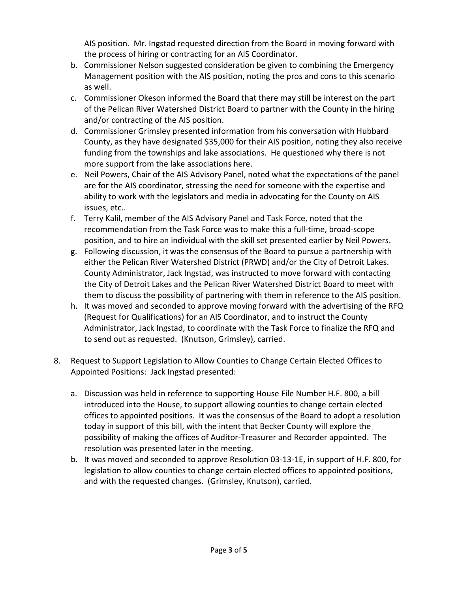AIS position. Mr. Ingstad requested direction from the Board in moving forward with the process of hiring or contracting for an AIS Coordinator.

- b. Commissioner Nelson suggested consideration be given to combining the Emergency Management position with the AIS position, noting the pros and cons to this scenario as well.
- c. Commissioner Okeson informed the Board that there may still be interest on the part of the Pelican River Watershed District Board to partner with the County in the hiring and/or contracting of the AIS position.
- d. Commissioner Grimsley presented information from his conversation with Hubbard County, as they have designated \$35,000 for their AIS position, noting they also receive funding from the townships and lake associations. He questioned why there is not more support from the lake associations here.
- e. Neil Powers, Chair of the AIS Advisory Panel, noted what the expectations of the panel are for the AIS coordinator, stressing the need for someone with the expertise and ability to work with the legislators and media in advocating for the County on AIS issues, etc..
- f. Terry Kalil, member of the AIS Advisory Panel and Task Force, noted that the recommendation from the Task Force was to make this a full-time, broad-scope position, and to hire an individual with the skill set presented earlier by Neil Powers.
- g. Following discussion, it was the consensus of the Board to pursue a partnership with either the Pelican River Watershed District (PRWD) and/or the City of Detroit Lakes. County Administrator, Jack Ingstad, was instructed to move forward with contacting the City of Detroit Lakes and the Pelican River Watershed District Board to meet with them to discuss the possibility of partnering with them in reference to the AIS position.
- h. It was moved and seconded to approve moving forward with the advertising of the RFQ (Request for Qualifications) for an AIS Coordinator, and to instruct the County Administrator, Jack Ingstad, to coordinate with the Task Force to finalize the RFQ and to send out as requested. (Knutson, Grimsley), carried.
- 8. Request to Support Legislation to Allow Counties to Change Certain Elected Offices to Appointed Positions: Jack Ingstad presented:
	- a. Discussion was held in reference to supporting House File Number H.F. 800, a bill introduced into the House, to support allowing counties to change certain elected offices to appointed positions. It was the consensus of the Board to adopt a resolution today in support of this bill, with the intent that Becker County will explore the possibility of making the offices of Auditor-Treasurer and Recorder appointed. The resolution was presented later in the meeting.
	- b. It was moved and seconded to approve Resolution 03-13-1E, in support of H.F. 800, for legislation to allow counties to change certain elected offices to appointed positions, and with the requested changes. (Grimsley, Knutson), carried.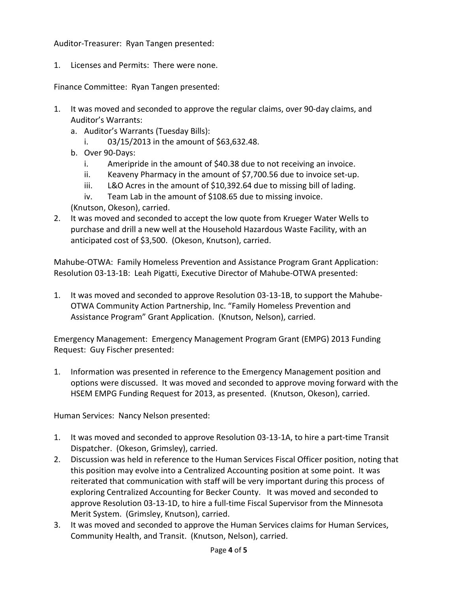Auditor-Treasurer: Ryan Tangen presented:

1. Licenses and Permits: There were none.

Finance Committee: Ryan Tangen presented:

- 1. It was moved and seconded to approve the regular claims, over 90-day claims, and Auditor's Warrants:
	- a. Auditor's Warrants (Tuesday Bills):
		- i.  $03/15/2013$  in the amount of \$63,632.48.
	- b. Over 90-Days:
		- i. Ameripride in the amount of \$40.38 due to not receiving an invoice.
		- ii. Keaveny Pharmacy in the amount of \$7,700.56 due to invoice set-up.
		- iii. L&O Acres in the amount of \$10,392.64 due to missing bill of lading.
		- iv. Team Lab in the amount of \$108.65 due to missing invoice.

(Knutson, Okeson), carried.

2. It was moved and seconded to accept the low quote from Krueger Water Wells to purchase and drill a new well at the Household Hazardous Waste Facility, with an anticipated cost of \$3,500. (Okeson, Knutson), carried.

Mahube-OTWA: Family Homeless Prevention and Assistance Program Grant Application: Resolution 03-13-1B: Leah Pigatti, Executive Director of Mahube-OTWA presented:

1. It was moved and seconded to approve Resolution 03-13-1B, to support the Mahube-OTWA Community Action Partnership, Inc. "Family Homeless Prevention and Assistance Program" Grant Application. (Knutson, Nelson), carried.

Emergency Management: Emergency Management Program Grant (EMPG) 2013 Funding Request: Guy Fischer presented:

1. Information was presented in reference to the Emergency Management position and options were discussed. It was moved and seconded to approve moving forward with the HSEM EMPG Funding Request for 2013, as presented. (Knutson, Okeson), carried.

Human Services: Nancy Nelson presented:

- 1. It was moved and seconded to approve Resolution 03-13-1A, to hire a part-time Transit Dispatcher. (Okeson, Grimsley), carried.
- 2. Discussion was held in reference to the Human Services Fiscal Officer position, noting that this position may evolve into a Centralized Accounting position at some point. It was reiterated that communication with staff will be very important during this process of exploring Centralized Accounting for Becker County. It was moved and seconded to approve Resolution 03-13-1D, to hire a full-time Fiscal Supervisor from the Minnesota Merit System. (Grimsley, Knutson), carried.
- 3. It was moved and seconded to approve the Human Services claims for Human Services, Community Health, and Transit. (Knutson, Nelson), carried.